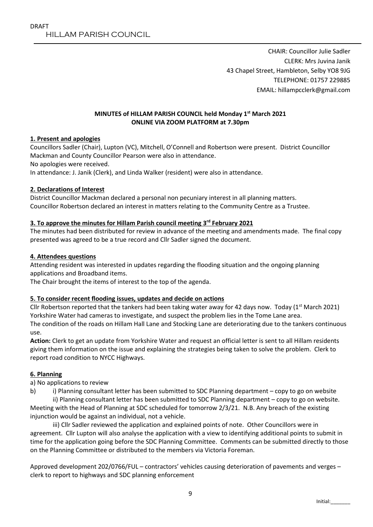CHAIR: Councillor Julie Sadler CLERK: Mrs Juvina Janik 43 Chapel Street, Hambleton, Selby YO8 9JG TELEPHONE: 01757 229885 EMAIL: hillampcclerk@gmail.com

#### **MINUTES of HILLAM PARISH COUNCIL held Monday 1st March 2021 ONLINE VIA ZOOM PLATFORM at 7.30pm**

### **1. Present and apologies**

Councillors Sadler (Chair), Lupton (VC), Mitchell, O'Connell and Robertson were present. District Councillor Mackman and County Councillor Pearson were also in attendance.

No apologies were received.

In attendance: J. Janik (Clerk), and Linda Walker (resident) were also in attendance.

### **2. Declarations of Interest**

District Councillor Mackman declared a personal non pecuniary interest in all planning matters. Councillor Robertson declared an interest in matters relating to the Community Centre as a Trustee.

### **3. To approve the minutes for Hillam Parish council meeting 3 rd February 2021**

The minutes had been distributed for review in advance of the meeting and amendments made. The final copy presented was agreed to be a true record and Cllr Sadler signed the document.

### **4. Attendees questions**

Attending resident was interested in updates regarding the flooding situation and the ongoing planning applications and Broadband items.

The Chair brought the items of interest to the top of the agenda.

### **5. To consider recent flooding issues, updates and decide on actions**

Cllr Robertson reported that the tankers had been taking water away for 42 days now. Today ( $1<sup>st</sup>$  March 2021) Yorkshire Water had cameras to investigate, and suspect the problem lies in the Tome Lane area. The condition of the roads on Hillam Hall Lane and Stocking Lane are deteriorating due to the tankers continuous use.

**Action:** Clerk to get an update from Yorkshire Water and request an official letter is sent to all Hillam residents giving them information on the issue and explaining the strategies being taken to solve the problem. Clerk to report road condition to NYCC Highways.

### **6. Planning**

a) No applications to review

b) i) Planning consultant letter has been submitted to SDC Planning department – copy to go on website

ii) Planning consultant letter has been submitted to SDC Planning department – copy to go on website. Meeting with the Head of Planning at SDC scheduled for tomorrow 2/3/21. N.B. Any breach of the existing injunction would be against an individual, not a vehicle.

iii) Cllr Sadler reviewed the application and explained points of note. Other Councillors were in agreement. Cllr Lupton will also analyse the application with a view to identifying additional points to submit in time for the application going before the SDC Planning Committee. Comments can be submitted directly to those on the Planning Committee or distributed to the members via Victoria Foreman.

Approved development 202/0766/FUL – contractors' vehicles causing deterioration of pavements and verges – clerk to report to highways and SDC planning enforcement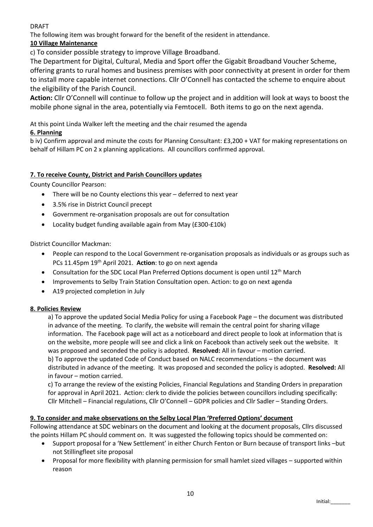### DRAFT

The following item was brought forward for the benefit of the resident in attendance.

# **10 Village Maintenance**

c) To consider possible strategy to improve Village Broadband.

The Department for Digital, Cultural, Media and Sport offer the Gigabit Broadband Voucher Scheme, offering grants to rural homes and business premises with poor connectivity at present in order for them to install more capable internet connections. Cllr O'Connell has contacted the scheme to enquire about the eligibility of the Parish Council.

**Action:** Cllr O'Connell will continue to follow up the project and in addition will look at ways to boost the mobile phone signal in the area, potentially via Femtocell. Both items to go on the next agenda.

At this point Linda Walker left the meeting and the chair resumed the agenda

# **6. Planning**

b iv) Confirm approval and minute the costs for Planning Consultant: £3,200 + VAT for making representations on behalf of Hillam PC on 2 x planning applications. All councillors confirmed approval.

# **7. To receive County, District and Parish Councillors updates**

County Councillor Pearson:

- There will be no County elections this year deferred to next year
- 3.5% rise in District Council precept
- Government re-organisation proposals are out for consultation
- Locality budget funding available again from May (£300-£10k)

District Councillor Mackman:

- People can respond to the Local Government re-organisation proposals as individuals or as groups such as PCs 11.45pm 19th April 2021. **Action**: to go on next agenda
- Consultation for the SDC Local Plan Preferred Options document is open until 12<sup>th</sup> March
- Improvements to Selby Train Station Consultation open. Action: to go on next agenda
- A19 projected completion in July

## **8. Policies Review**

a) To approve the updated Social Media Policy for using a Facebook Page – the document was distributed in advance of the meeting. To clarify, the website will remain the central point for sharing village information. The Facebook page will act as a noticeboard and direct people to look at information that is on the website, more people will see and click a link on Facebook than actively seek out the website. It was proposed and seconded the policy is adopted. **Resolved:** All in favour – motion carried. b) To approve the updated Code of Conduct based on NALC recommendations – the document was distributed in advance of the meeting. It was proposed and seconded the policy is adopted. **Resolved:** All in favour – motion carried.

c) To arrange the review of the existing Policies, Financial Regulations and Standing Orders in preparation for approval in April 2021. Action: clerk to divide the policies between councillors including specifically: Cllr Mitchell – Financial regulations, Cllr O'Connell – GDPR policies and Cllr Sadler – Standing Orders.

## **9. To consider and make observations on the Selby Local Plan 'Preferred Options' document**

Following attendance at SDC webinars on the document and looking at the document proposals, Cllrs discussed the points Hillam PC should comment on. It was suggested the following topics should be commented on:

- Support proposal for a 'New Settlement' in either Church Fenton or Burn because of transport links –but not Stillingfleet site proposal
- Proposal for more flexibility with planning permission for small hamlet sized villages supported within reason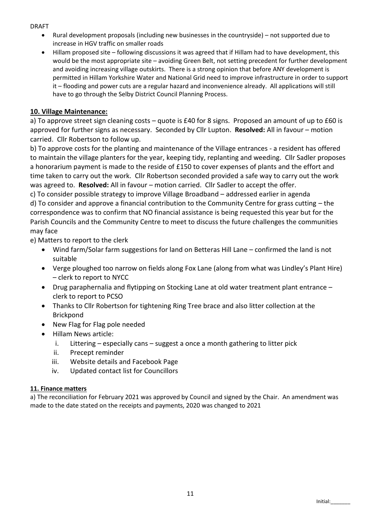DRAFT

- Rural development proposals (including new businesses in the countryside) not supported due to increase in HGV traffic on smaller roads
- Hillam proposed site following discussions it was agreed that if Hillam had to have development, this would be the most appropriate site – avoiding Green Belt, not setting precedent for further development and avoiding increasing village outskirts. There is a strong opinion that before ANY development is permitted in Hillam Yorkshire Water and National Grid need to improve infrastructure in order to support it – flooding and power cuts are a regular hazard and inconvenience already. All applications will still have to go through the Selby District Council Planning Process.

# **10. Village Maintenance:**

a) To approve street sign cleaning costs – quote is £40 for 8 signs. Proposed an amount of up to £60 is approved for further signs as necessary. Seconded by Cllr Lupton. **Resolved:** All in favour – motion carried. Cllr Robertson to follow up.

b) To approve costs for the planting and maintenance of the Village entrances - a resident has offered to maintain the village planters for the year, keeping tidy, replanting and weeding. Cllr Sadler proposes a honorarium payment is made to the reside of £150 to cover expenses of plants and the effort and time taken to carry out the work. Cllr Robertson seconded provided a safe way to carry out the work was agreed to. **Resolved:** All in favour – motion carried. Cllr Sadler to accept the offer.

c) To consider possible strategy to improve Village Broadband – addressed earlier in agenda d) To consider and approve a financial contribution to the Community Centre for grass cutting – the correspondence was to confirm that NO financial assistance is being requested this year but for the Parish Councils and the Community Centre to meet to discuss the future challenges the communities may face

e) Matters to report to the clerk

- Wind farm/Solar farm suggestions for land on Betteras Hill Lane confirmed the land is not suitable
- Verge ploughed too narrow on fields along Fox Lane (along from what was Lindley's Plant Hire) – clerk to report to NYCC
- Drug paraphernalia and flytipping on Stocking Lane at old water treatment plant entrance clerk to report to PCSO
- Thanks to Cllr Robertson for tightening Ring Tree brace and also litter collection at the Brickpond
- New Flag for Flag pole needed
- Hillam News article:
	- i. Littering especially cans suggest a once a month gathering to litter pick
	- ii. Precept reminder
	- iii. Website details and Facebook Page
	- iv. Updated contact list for Councillors

## **11. Finance matters**

a) The reconciliation for February 2021 was approved by Council and signed by the Chair. An amendment was made to the date stated on the receipts and payments, 2020 was changed to 2021